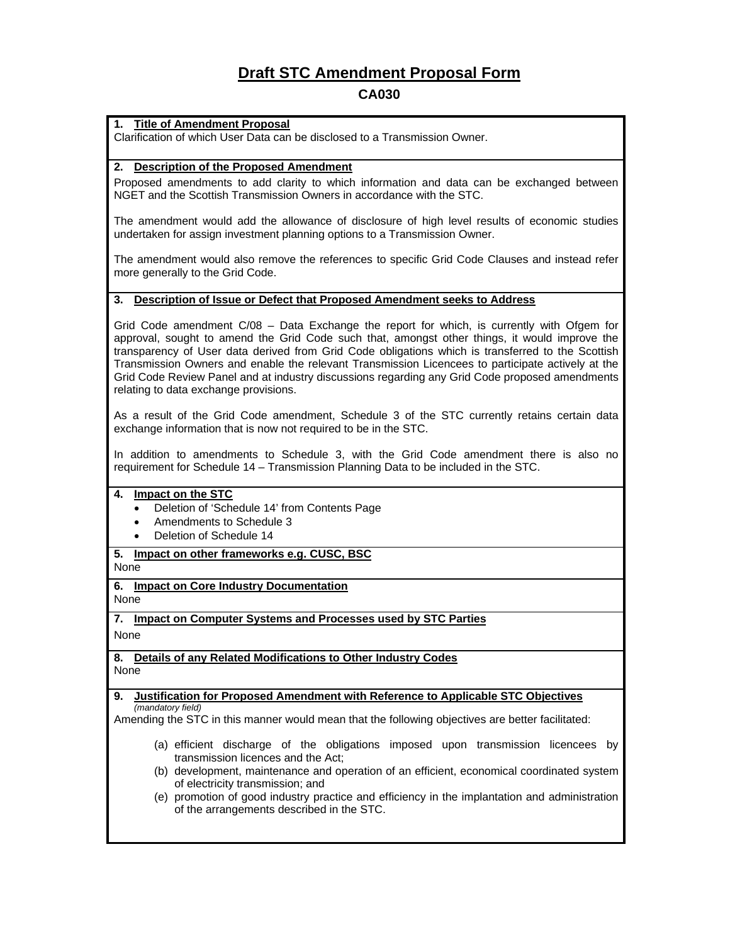# **Draft STC Amendment Proposal Form**

# **CA030**

### **1. Title of Amendment Proposal**

Clarification of which User Data can be disclosed to a Transmission Owner.

### **2. Description of the Proposed Amendment**

Proposed amendments to add clarity to which information and data can be exchanged between NGET and the Scottish Transmission Owners in accordance with the STC.

The amendment would add the allowance of disclosure of high level results of economic studies undertaken for assign investment planning options to a Transmission Owner.

The amendment would also remove the references to specific Grid Code Clauses and instead refer more generally to the Grid Code.

### **3. Description of Issue or Defect that Proposed Amendment seeks to Address**

Grid Code amendment C/08 – Data Exchange the report for which, is currently with Ofgem for approval, sought to amend the Grid Code such that, amongst other things, it would improve the transparency of User data derived from Grid Code obligations which is transferred to the Scottish Transmission Owners and enable the relevant Transmission Licencees to participate actively at the Grid Code Review Panel and at industry discussions regarding any Grid Code proposed amendments relating to data exchange provisions.

As a result of the Grid Code amendment, Schedule 3 of the STC currently retains certain data exchange information that is now not required to be in the STC.

In addition to amendments to Schedule 3, with the Grid Code amendment there is also no requirement for Schedule 14 – Transmission Planning Data to be included in the STC.

### **4. Impact on the STC**

- Deletion of 'Schedule 14' from Contents Page
- Amendments to Schedule 3
- Deletion of Schedule 14

# **5. Impact on other frameworks e.g. CUSC, BSC**

None

# **6. Impact on Core Industry Documentation**

None

**7. Impact on Computer Systems and Processes used by STC Parties**

None

### **8. Details of any Related Modifications to Other Industry Codes** None

#### **9. Justification for Proposed Amendment with Reference to Applicable STC Objectives** *(mandatory field)*

Amending the STC in this manner would mean that the following objectives are better facilitated:

- (a) efficient discharge of the obligations imposed upon transmission licencees by transmission licences and the Act;
- (b) development, maintenance and operation of an efficient, economical coordinated system of electricity transmission; and
- (e) promotion of good industry practice and efficiency in the implantation and administration of the arrangements described in the STC.